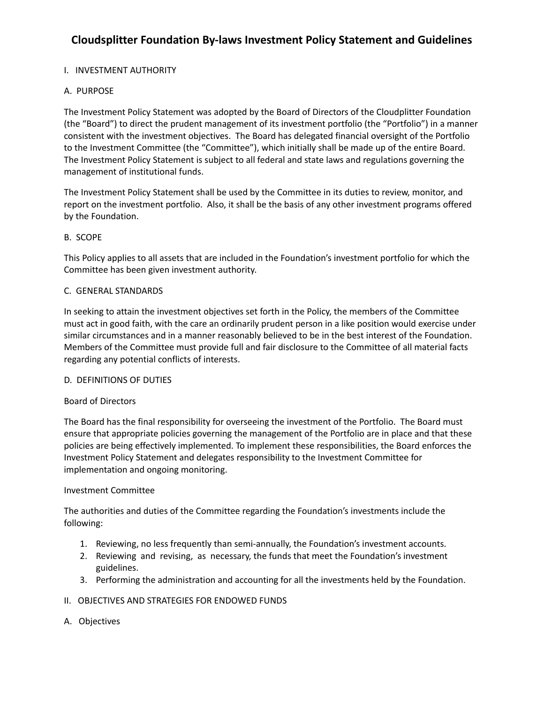## **Cloudsplitter Foundation By-laws Investment Policy Statement and Guidelines**

### I. INVESTMENT AUTHORITY

#### A. PURPOSE

The Investment Policy Statement was adopted by the Board of Directors of the Cloudplitter Foundation (the "Board") to direct the prudent management of its investment portfolio (the "Portfolio") in a manner consistent with the investment objectives. The Board has delegated financial oversight of the Portfolio to the Investment Committee (the "Committee"), which initially shall be made up of the entire Board. The Investment Policy Statement is subject to all federal and state laws and regulations governing the management of institutional funds.

The Investment Policy Statement shall be used by the Committee in its duties to review, monitor, and report on the investment portfolio. Also, it shall be the basis of any other investment programs offered by the Foundation.

#### B. SCOPE

This Policy applies to all assets that are included in the Foundation's investment portfolio for which the Committee has been given investment authority.

#### C. GENERAL STANDARDS

In seeking to attain the investment objectives set forth in the Policy, the members of the Committee must act in good faith, with the care an ordinarily prudent person in a like position would exercise under similar circumstances and in a manner reasonably believed to be in the best interest of the Foundation. Members of the Committee must provide full and fair disclosure to the Committee of all material facts regarding any potential conflicts of interests.

#### D. DEFINITIONS OF DUTIES

#### Board of Directors

The Board has the final responsibility for overseeing the investment of the Portfolio. The Board must ensure that appropriate policies governing the management of the Portfolio are in place and that these policies are being effectively implemented. To implement these responsibilities, the Board enforces the Investment Policy Statement and delegates responsibility to the Investment Committee for implementation and ongoing monitoring.

#### Investment Committee

The authorities and duties of the Committee regarding the Foundation's investments include the following:

- 1. Reviewing, no less frequently than semi-annually, the Foundation's investment accounts.
- 2. Reviewing and revising, as necessary, the funds that meet the Foundation's investment guidelines.
- 3. Performing the administration and accounting for all the investments held by the Foundation.

#### II. OBJECTIVES AND STRATEGIES FOR ENDOWED FUNDS

A. Objectives